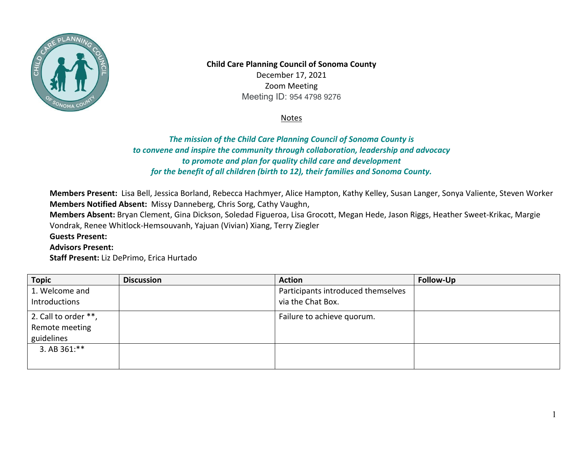

 Meeting ID: 954 4798 9276 **Child Care Planning Council of Sonoma County**  December 17, 2021 Zoom Meeting

Notes

## *to convene and inspire the community through collaboration, leadership and advocacy The mission of the Child Care Planning Council of Sonoma County is to promote and plan for quality child care and development for the benefit of all children (birth to 12), their families and Sonoma County.*

 **Members Notified Absent:** Missy Danneberg, Chris Sorg, Cathy Vaughn, **Members Present:** Lisa Bell, Jessica Borland, Rebecca Hachmyer, Alice Hampton, Kathy Kelley, Susan Langer, Sonya Valiente, Steven Worker

**Members Absent:** Bryan Clement, Gina Dickson, Soledad Figueroa, Lisa Grocott, Megan Hede, Jason Riggs, Heather Sweet-Krikac, Margie Vondrak, Renee Whitlock-Hemsouvanh, Yajuan (Vivian) Xiang, Terry Ziegler

**Guests Present:** 

**Advisors Present:** 

**Staff Present:** Liz DePrimo, Erica Hurtado

| <b>Topic</b>         | <b>Discussion</b> | <b>Action</b>                      | Follow-Up |
|----------------------|-------------------|------------------------------------|-----------|
| 1. Welcome and       |                   | Participants introduced themselves |           |
| Introductions        |                   | via the Chat Box.                  |           |
| 2. Call to order **, |                   | Failure to achieve quorum.         |           |
| Remote meeting       |                   |                                    |           |
| guidelines           |                   |                                    |           |
| 3. AB 361:**         |                   |                                    |           |
|                      |                   |                                    |           |
|                      |                   |                                    |           |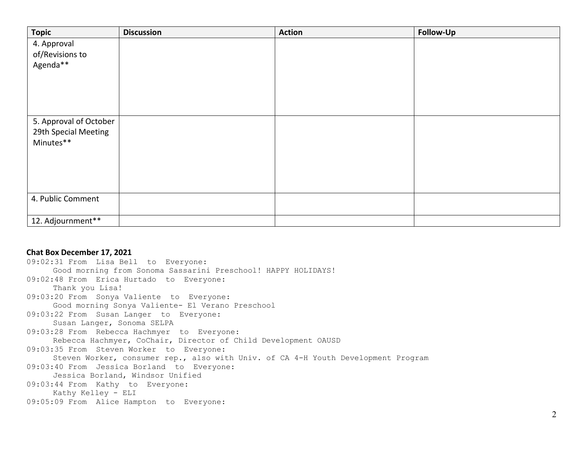| <b>Topic</b>           | <b>Discussion</b> | <b>Action</b> | Follow-Up |
|------------------------|-------------------|---------------|-----------|
| 4. Approval            |                   |               |           |
| of/Revisions to        |                   |               |           |
| Agenda**               |                   |               |           |
|                        |                   |               |           |
|                        |                   |               |           |
|                        |                   |               |           |
|                        |                   |               |           |
| 5. Approval of October |                   |               |           |
| 29th Special Meeting   |                   |               |           |
| Minutes**              |                   |               |           |
|                        |                   |               |           |
|                        |                   |               |           |
|                        |                   |               |           |
|                        |                   |               |           |
| 4. Public Comment      |                   |               |           |
|                        |                   |               |           |
| 12. Adjournment**      |                   |               |           |

## **Chat Box December 17, 2021**

```
09:02:31 From Lisa Bell to Everyone: 
     Good morning from Sonoma Sassarini Preschool! HAPPY HOLIDAYS! 
09:02:48 From Erica Hurtado to Everyone: 
     Thank you Lisa! 
09:03:20 From Sonya Valiente to Everyone: 
     Good morning Sonya Valiente- El Verano Preschool 
09:03:22 From Susan Langer to Everyone: 
     Susan Langer, Sonoma SELPA 
09:03:28 From Rebecca Hachmyer to Everyone: 
     Rebecca Hachmyer, CoChair, Director of Child Development OAUSD 
09:03:35 From Steven Worker to Everyone: 
     Steven Worker, consumer rep., also with Univ. of CA 4-H Youth Development Program 
09:03:40 From Jessica Borland to Everyone: 
     Jessica Borland, Windsor Unified 
09:03:44 From Kathy to Everyone: 
     Kathy Kelley - ELI 
09:05:09 From Alice Hampton to Everyone:
```